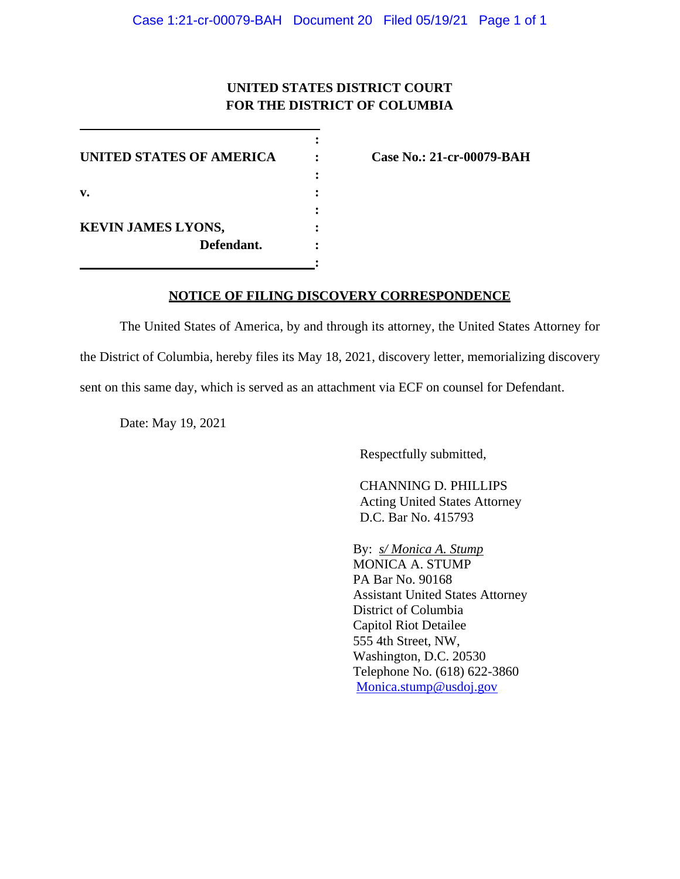## **UNITED STATES DISTRICT COURT FOR THE DISTRICT OF COLUMBIA**

**:**

**:**

**UNITED STATES OF AMERICA : Case No.: 21-cr-00079-BAH : v. : : KEVIN JAMES LYONS, : Defendant. :**

## **NOTICE OF FILING DISCOVERY CORRESPONDENCE**

The United States of America, by and through its attorney, the United States Attorney for the District of Columbia, hereby files its May 18, 2021, discovery letter, memorializing discovery sent on this same day, which is served as an attachment via ECF on counsel for Defendant.

Date: May 19, 2021

Respectfully submitted,

CHANNING D. PHILLIPS Acting United States Attorney D.C. Bar No. 415793

By: *s/ Monica A. Stump* MONICA A. STUMP PA Bar No. 90168 Assistant United States Attorney District of Columbia Capitol Riot Detailee 555 4th Street, NW, Washington, D.C. 20530 Telephone No. (618) 622-3860 Monica.stump@usdoj.gov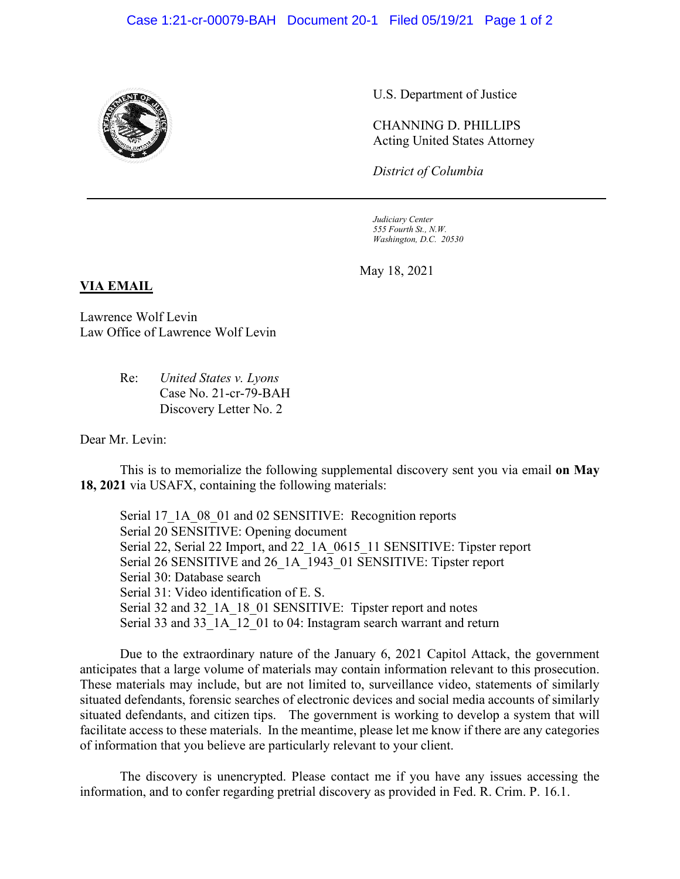

U.S. Department of Justice

CHANNING D. PHILLIPS Acting United States Attorney

*District of Columbia*

*Judiciary Center 555 Fourth St., N.W. Washington, D.C. 20530*

May 18, 2021

## **VIA EMAIL**

Lawrence Wolf Levin Law Office of Lawrence Wolf Levin

> Re: *United States v. Lyons* Case No. 21-cr-79-BAH Discovery Letter No. 2

Dear Mr. Levin:

This is to memorialize the following supplemental discovery sent you via email **on May 18, 2021** via USAFX, containing the following materials:

Serial 17\_1A\_08\_01 and 02 SENSITIVE: Recognition reports Serial 20 SENSITIVE: Opening document Serial 22, Serial 22 Import, and 22 1A 0615 11 SENSITIVE: Tipster report Serial 26 SENSITIVE and 26\_1A\_1943\_01 SENSITIVE: Tipster report Serial 30: Database search Serial 31: Video identification of E. S. Serial 32 and 32 1A 18 01 SENSITIVE: Tipster report and notes Serial 33 and 33<sup>1</sup>A<sup>12</sup> 01 to 04: Instagram search warrant and return

Due to the extraordinary nature of the January 6, 2021 Capitol Attack, the government anticipates that a large volume of materials may contain information relevant to this prosecution. These materials may include, but are not limited to, surveillance video, statements of similarly situated defendants, forensic searches of electronic devices and social media accounts of similarly situated defendants, and citizen tips. The government is working to develop a system that will facilitate access to these materials. In the meantime, please let me know if there are any categories of information that you believe are particularly relevant to your client.

The discovery is unencrypted. Please contact me if you have any issues accessing the information, and to confer regarding pretrial discovery as provided in Fed. R. Crim. P. 16.1.